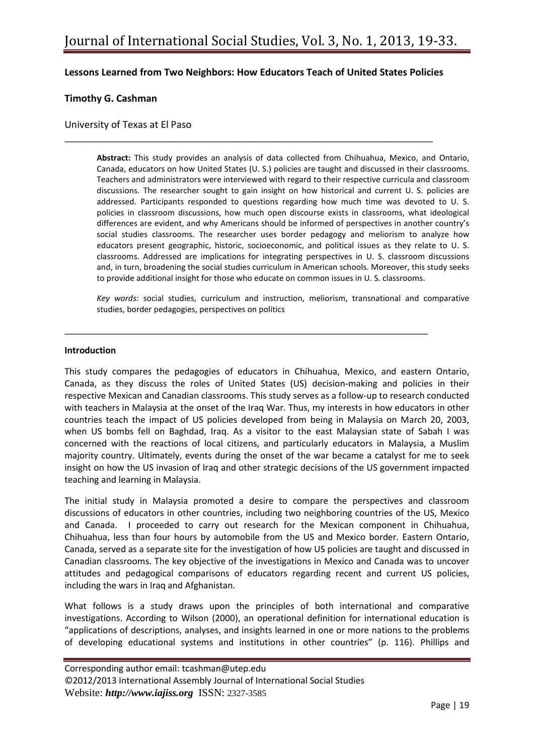## **Lessons Learned from Two Neighbors: How Educators Teach of United States Policies**

\_\_\_\_\_\_\_\_\_\_\_\_\_\_\_\_\_\_\_\_\_\_\_\_\_\_\_\_\_\_\_\_\_\_\_\_\_\_\_\_\_\_\_\_\_\_\_\_\_\_\_\_\_\_\_\_\_\_\_\_\_\_\_\_\_\_\_\_\_\_\_\_\_\_\_

\_\_\_\_\_\_\_\_\_\_\_\_\_\_\_\_\_\_\_\_\_\_\_\_\_\_\_\_\_\_\_\_\_\_\_\_\_\_\_\_\_\_\_\_\_\_\_\_\_\_\_\_\_\_\_\_\_\_\_\_\_\_\_\_\_\_\_\_\_\_\_\_\_\_

### **Timothy G. Cashman**

### University of Texas at El Paso

**Abstract:** This study provides an analysis of data collected from Chihuahua, Mexico, and Ontario, Canada, educators on how United States (U. S.) policies are taught and discussed in their classrooms. Teachers and administrators were interviewed with regard to their respective curricula and classroom discussions. The researcher sought to gain insight on how historical and current U. S. policies are addressed. Participants responded to questions regarding how much time was devoted to U. S. policies in classroom discussions, how much open discourse exists in classrooms, what ideological differences are evident, and why Americans should be informed of perspectives in another country's social studies classrooms. The researcher uses border pedagogy and meliorism to analyze how educators present geographic, historic, socioeconomic, and political issues as they relate to U. S. classrooms. Addressed are implications for integrating perspectives in U. S. classroom discussions and, in turn, broadening the social studies curriculum in American schools. Moreover, this study seeks to provide additional insight for those who educate on common issues in U. S. classrooms.

*Key words:* social studies, curriculum and instruction, meliorism, transnational and comparative studies, border pedagogies, perspectives on politics

#### **Introduction**

This study compares the pedagogies of educators in Chihuahua, Mexico, and eastern Ontario, Canada, as they discuss the roles of United States (US) decision-making and policies in their respective Mexican and Canadian classrooms. This study serves as a follow-up to research conducted with teachers in Malaysia at the onset of the Iraq War. Thus, my interests in how educators in other countries teach the impact of US policies developed from being in Malaysia on March 20, 2003, when US bombs fell on Baghdad, Iraq. As a visitor to the east Malaysian state of Sabah I was concerned with the reactions of local citizens, and particularly educators in Malaysia, a Muslim majority country. Ultimately, events during the onset of the war became a catalyst for me to seek insight on how the US invasion of Iraq and other strategic decisions of the US government impacted teaching and learning in Malaysia.

The initial study in Malaysia promoted a desire to compare the perspectives and classroom discussions of educators in other countries, including two neighboring countries of the US, Mexico and Canada. I proceeded to carry out research for the Mexican component in Chihuahua, Chihuahua, less than four hours by automobile from the US and Mexico border. Eastern Ontario, Canada, served as a separate site for the investigation of how US policies are taught and discussed in Canadian classrooms. The key objective of the investigations in Mexico and Canada was to uncover attitudes and pedagogical comparisons of educators regarding recent and current US policies, including the wars in Iraq and Afghanistan.

What follows is a study draws upon the principles of both international and comparative investigations. According to Wilson (2000), an operational definition for international education is "applications of descriptions, analyses, and insights learned in one or more nations to the problems of developing educational systems and institutions in other countries" (p. 116). Phillips and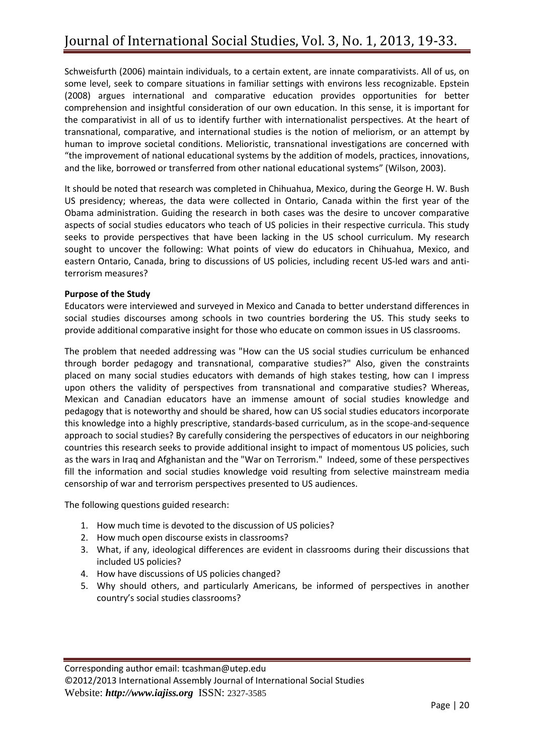Schweisfurth (2006) maintain individuals, to a certain extent, are innate comparativists. All of us, on some level, seek to compare situations in familiar settings with environs less recognizable. Epstein (2008) argues international and comparative education provides opportunities for better comprehension and insightful consideration of our own education. In this sense, it is important for the comparativist in all of us to identify further with internationalist perspectives. At the heart of transnational, comparative, and international studies is the notion of meliorism, or an attempt by human to improve societal conditions. Melioristic, transnational investigations are concerned with "the improvement of national educational systems by the addition of models, practices, innovations, and the like, borrowed or transferred from other national educational systems" (Wilson, 2003).

It should be noted that research was completed in Chihuahua, Mexico, during the George H. W. Bush US presidency; whereas, the data were collected in Ontario, Canada within the first year of the Obama administration. Guiding the research in both cases was the desire to uncover comparative aspects of social studies educators who teach of US policies in their respective curricula. This study seeks to provide perspectives that have been lacking in the US school curriculum. My research sought to uncover the following: What points of view do educators in Chihuahua, Mexico, and eastern Ontario, Canada, bring to discussions of US policies, including recent US-led wars and antiterrorism measures?

## **Purpose of the Study**

Educators were interviewed and surveyed in Mexico and Canada to better understand differences in social studies discourses among schools in two countries bordering the US. This study seeks to provide additional comparative insight for those who educate on common issues in US classrooms.

The problem that needed addressing was "How can the US social studies curriculum be enhanced through border pedagogy and transnational, comparative studies?" Also, given the constraints placed on many social studies educators with demands of high stakes testing, how can I impress upon others the validity of perspectives from transnational and comparative studies? Whereas, Mexican and Canadian educators have an immense amount of social studies knowledge and pedagogy that is noteworthy and should be shared, how can US social studies educators incorporate this knowledge into a highly prescriptive, standards-based curriculum, as in the scope-and-sequence approach to social studies? By carefully considering the perspectives of educators in our neighboring countries this research seeks to provide additional insight to impact of momentous US policies, such as the wars in Iraq and Afghanistan and the "War on Terrorism." Indeed, some of these perspectives fill the information and social studies knowledge void resulting from selective mainstream media censorship of war and terrorism perspectives presented to US audiences.

The following questions guided research:

- 1. How much time is devoted to the discussion of US policies?
- 2. How much open discourse exists in classrooms?
- 3. What, if any, ideological differences are evident in classrooms during their discussions that included US policies?
- 4. How have discussions of US policies changed?
- 5. Why should others, and particularly Americans, be informed of perspectives in another country's social studies classrooms?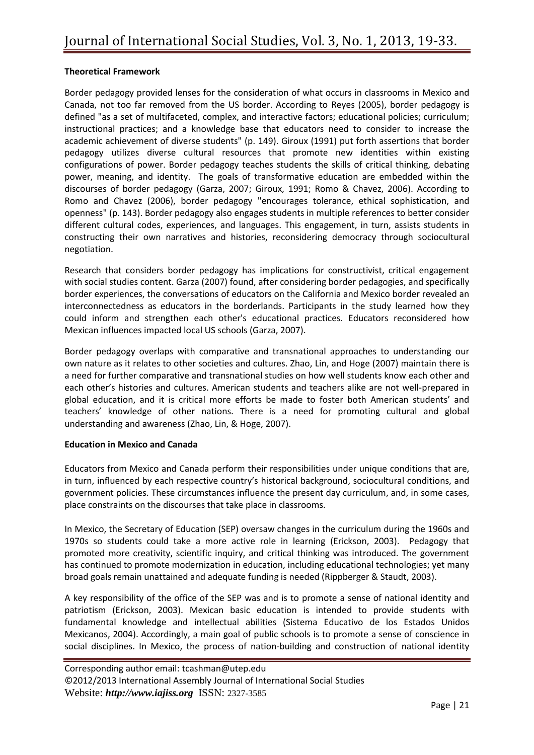## **Theoretical Framework**

Border pedagogy provided lenses for the consideration of what occurs in classrooms in Mexico and Canada, not too far removed from the US border. According to Reyes (2005), border pedagogy is defined "as a set of multifaceted, complex, and interactive factors; educational policies; curriculum; instructional practices; and a knowledge base that educators need to consider to increase the academic achievement of diverse students" (p. 149). Giroux (1991) put forth assertions that border pedagogy utilizes diverse cultural resources that promote new identities within existing configurations of power. Border pedagogy teaches students the skills of critical thinking, debating power, meaning, and identity. The goals of transformative education are embedded within the discourses of border pedagogy (Garza, 2007; Giroux, 1991; Romo & Chavez, 2006). According to Romo and Chavez (2006), border pedagogy "encourages tolerance, ethical sophistication, and openness" (p. 143). Border pedagogy also engages students in multiple references to better consider different cultural codes, experiences, and languages. This engagement, in turn, assists students in constructing their own narratives and histories, reconsidering democracy through sociocultural negotiation.

Research that considers border pedagogy has implications for constructivist, critical engagement with social studies content. Garza (2007) found, after considering border pedagogies, and specifically border experiences, the conversations of educators on the California and Mexico border revealed an interconnectedness as educators in the borderlands. Participants in the study learned how they could inform and strengthen each other's educational practices. Educators reconsidered how Mexican influences impacted local US schools (Garza, 2007).

Border pedagogy overlaps with comparative and transnational approaches to understanding our own nature as it relates to other societies and cultures. Zhao, Lin, and Hoge (2007) maintain there is a need for further comparative and transnational studies on how well students know each other and each other's histories and cultures. American students and teachers alike are not well-prepared in global education, and it is critical more efforts be made to foster both American students' and teachers' knowledge of other nations. There is a need for promoting cultural and global understanding and awareness (Zhao, Lin, & Hoge, 2007).

#### **Education in Mexico and Canada**

Educators from Mexico and Canada perform their responsibilities under unique conditions that are, in turn, influenced by each respective country's historical background, sociocultural conditions, and government policies. These circumstances influence the present day curriculum, and, in some cases, place constraints on the discourses that take place in classrooms.

In Mexico, the Secretary of Education (SEP) oversaw changes in the curriculum during the 1960s and 1970s so students could take a more active role in learning (Erickson, 2003). Pedagogy that promoted more creativity, scientific inquiry, and critical thinking was introduced. The government has continued to promote modernization in education, including educational technologies; yet many broad goals remain unattained and adequate funding is needed (Rippberger & Staudt, 2003).

A key responsibility of the office of the SEP was and is to promote a sense of national identity and patriotism (Erickson, 2003). Mexican basic education is intended to provide students with fundamental knowledge and intellectual abilities (Sistema Educativo de los Estados Unidos Mexicanos, 2004). Accordingly, a main goal of public schools is to promote a sense of conscience in social disciplines. In Mexico, the process of nation-building and construction of national identity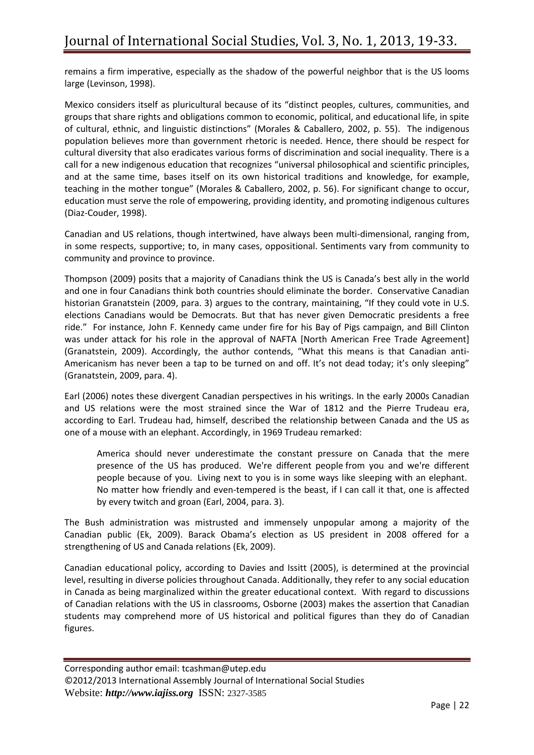remains a firm imperative, especially as the shadow of the powerful neighbor that is the US looms large (Levinson, 1998).

Mexico considers itself as pluricultural because of its "distinct peoples, cultures, communities, and groups that share rights and obligations common to economic, political, and educational life, in spite of cultural, ethnic, and linguistic distinctions" (Morales & Caballero, 2002, p. 55). The indigenous population believes more than government rhetoric is needed. Hence, there should be respect for cultural diversity that also eradicates various forms of discrimination and social inequality. There is a call for a new indigenous education that recognizes "universal philosophical and scientific principles, and at the same time, bases itself on its own historical traditions and knowledge, for example, teaching in the mother tongue" (Morales & Caballero, 2002, p. 56). For significant change to occur, education must serve the role of empowering, providing identity, and promoting indigenous cultures (Diaz-Couder, 1998).

Canadian and US relations, though intertwined, have always been multi-dimensional, ranging from, in some respects, supportive; to, in many cases, oppositional. Sentiments vary from community to community and province to province.

Thompson (2009) posits that a majority of Canadians think the US is Canada's best ally in the world and one in four Canadians think both countries should eliminate the border. Conservative Canadian historian Granatstein (2009, para. 3) argues to the contrary, maintaining, "If they could vote in U.S. elections Canadians would be Democrats. But that has never given Democratic presidents a free ride." For instance, John F. Kennedy came under fire for his Bay of Pigs campaign, and Bill Clinton was under attack for his role in the approval of NAFTA [North American Free Trade Agreement] (Granatstein, 2009). Accordingly, the author contends, "What this means is that Canadian anti-Americanism has never been a tap to be turned on and off. It's not dead today; it's only sleeping" (Granatstein, 2009, para. 4).

Earl (2006) notes these divergent Canadian perspectives in his writings. In the early 2000s Canadian and US relations were the most strained since the War of 1812 and the Pierre Trudeau era, according to Earl. Trudeau had, himself, described the relationship between Canada and the US as one of a mouse with an elephant. Accordingly, in 1969 Trudeau remarked:

America should never underestimate the constant pressure on Canada that the mere presence of the US has produced. We're different people from you and we're different people because of you. Living next to you is in some ways like sleeping with an elephant. No matter how friendly and even-tempered is the beast, if I can call it that, one is affected by every twitch and groan (Earl, 2004, para. 3).

The Bush administration was mistrusted and immensely unpopular among a majority of the Canadian public (Ek, 2009). Barack Obama's election as US president in 2008 offered for a strengthening of US and Canada relations (Ek, 2009).

Canadian educational policy, according to Davies and Issitt (2005), is determined at the provincial level, resulting in diverse policies throughout Canada. Additionally, they refer to any social education in Canada as being marginalized within the greater educational context. With regard to discussions of Canadian relations with the US in classrooms, Osborne (2003) makes the assertion that Canadian students may comprehend more of US historical and political figures than they do of Canadian figures.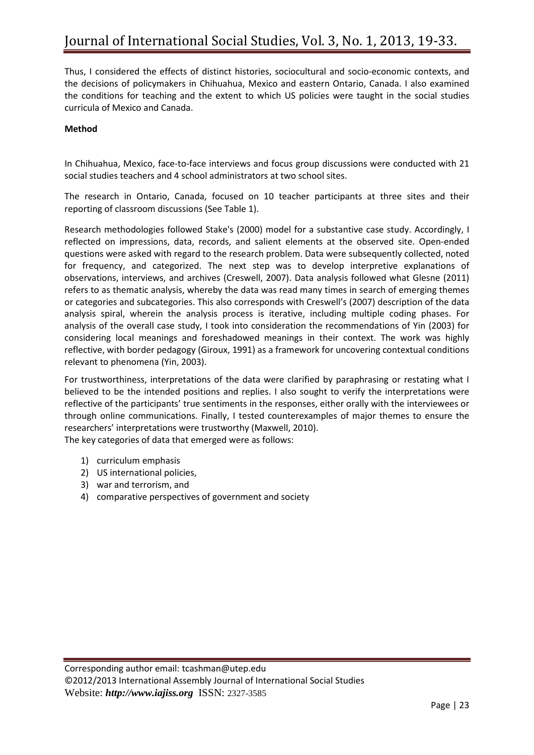Thus, I considered the effects of distinct histories, sociocultural and socio-economic contexts, and the decisions of policymakers in Chihuahua, Mexico and eastern Ontario, Canada. I also examined the conditions for teaching and the extent to which US policies were taught in the social studies curricula of Mexico and Canada.

# **Method**

In Chihuahua, Mexico, face-to-face interviews and focus group discussions were conducted with 21 social studies teachers and 4 school administrators at two school sites.

The research in Ontario, Canada, focused on 10 teacher participants at three sites and their reporting of classroom discussions (See Table 1).

Research methodologies followed Stake's (2000) model for a substantive case study. Accordingly, I reflected on impressions, data, records, and salient elements at the observed site. Open-ended questions were asked with regard to the research problem. Data were subsequently collected, noted for frequency, and categorized. The next step was to develop interpretive explanations of observations, interviews, and archives (Creswell, 2007). Data analysis followed what Glesne (2011) refers to as thematic analysis, whereby the data was read many times in search of emerging themes or categories and subcategories. This also corresponds with Creswell's (2007) description of the data analysis spiral, wherein the analysis process is iterative, including multiple coding phases. For analysis of the overall case study, I took into consideration the recommendations of Yin (2003) for considering local meanings and foreshadowed meanings in their context. The work was highly reflective, with border pedagogy (Giroux, 1991) as a framework for uncovering contextual conditions relevant to phenomena (Yin, 2003).

For trustworthiness, interpretations of the data were clarified by paraphrasing or restating what I believed to be the intended positions and replies. I also sought to verify the interpretations were reflective of the participants' true sentiments in the responses, either orally with the interviewees or through online communications. Finally, I tested counterexamples of major themes to ensure the researchers' interpretations were trustworthy (Maxwell, 2010).

The key categories of data that emerged were as follows:

- 1) curriculum emphasis
- 2) US international policies,
- 3) war and terrorism, and
- 4) comparative perspectives of government and society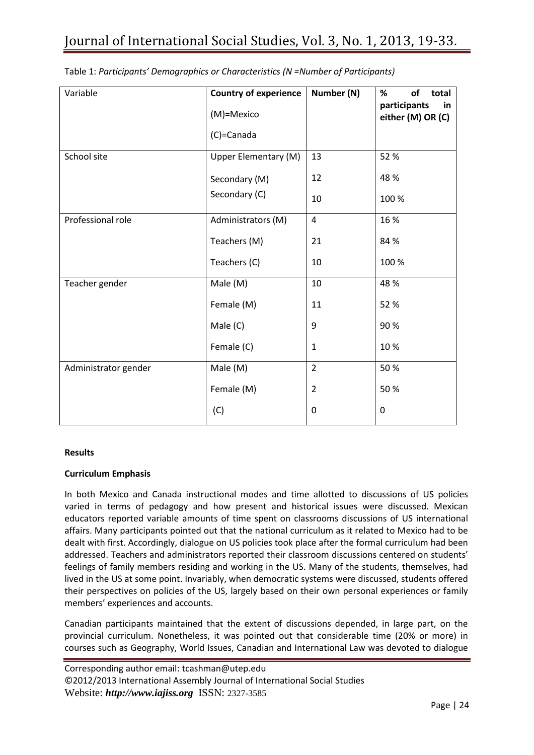| Variable             | <b>Country of experience</b> | Number (N)     | %<br>οf<br>total                        |
|----------------------|------------------------------|----------------|-----------------------------------------|
|                      | (M)=Mexico                   |                | participants<br>in<br>either (M) OR (C) |
|                      | (C)=Canada                   |                |                                         |
| School site          | Upper Elementary (M)         | 13             | 52 %                                    |
|                      | Secondary (M)                | 12             | 48 %                                    |
|                      | Secondary (C)                | 10             | 100 %                                   |
| Professional role    | Administrators (M)           | $\overline{4}$ | 16 %                                    |
|                      | Teachers (M)                 | 21             | 84 %                                    |
|                      | Teachers (C)                 | 10             | 100 %                                   |
| Teacher gender       | Male (M)                     | 10             | 48 %                                    |
|                      | Female (M)                   | 11             | 52 %                                    |
|                      | Male (C)                     | 9              | 90%                                     |
|                      | Female (C)                   | $\mathbf{1}$   | 10%                                     |
| Administrator gender | Male (M)                     | $\overline{2}$ | 50%                                     |
|                      | Female (M)                   | $\overline{2}$ | 50 %                                    |
|                      | (C)                          | 0              | 0                                       |

Table 1: *Participants' Demographics or Characteristics (N =Number of Participants)*

#### **Results**

#### **Curriculum Emphasis**

In both Mexico and Canada instructional modes and time allotted to discussions of US policies varied in terms of pedagogy and how present and historical issues were discussed. Mexican educators reported variable amounts of time spent on classrooms discussions of US international affairs. Many participants pointed out that the national curriculum as it related to Mexico had to be dealt with first. Accordingly, dialogue on US policies took place after the formal curriculum had been addressed. Teachers and administrators reported their classroom discussions centered on students' feelings of family members residing and working in the US. Many of the students, themselves, had lived in the US at some point. Invariably, when democratic systems were discussed, students offered their perspectives on policies of the US, largely based on their own personal experiences or family members' experiences and accounts.

Canadian participants maintained that the extent of discussions depended, in large part, on the provincial curriculum. Nonetheless, it was pointed out that considerable time (20% or more) in courses such as Geography, World Issues, Canadian and International Law was devoted to dialogue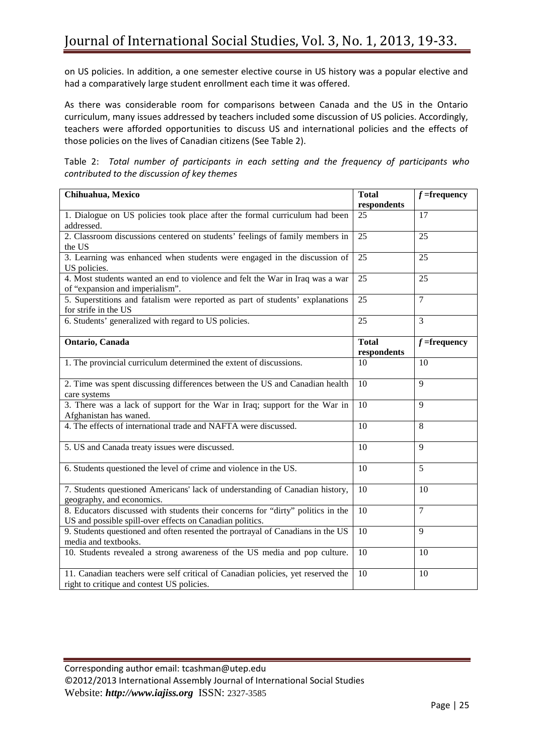on US policies. In addition, a one semester elective course in US history was a popular elective and had a comparatively large student enrollment each time it was offered.

As there was considerable room for comparisons between Canada and the US in the Ontario curriculum, many issues addressed by teachers included some discussion of US policies. Accordingly, teachers were afforded opportunities to discuss US and international policies and the effects of those policies on the lives of Canadian citizens (See Table 2).

Table 2: *Total number of participants in each setting and the frequency of participants who contributed to the discussion of key themes*

| Chihuahua, Mexico                                                                                                                           | <b>Total</b>                | $f =$ frequency |
|---------------------------------------------------------------------------------------------------------------------------------------------|-----------------------------|-----------------|
|                                                                                                                                             | respondents                 |                 |
| 1. Dialogue on US policies took place after the formal curriculum had been<br>addressed.                                                    | 25                          | 17              |
| 2. Classroom discussions centered on students' feelings of family members in<br>the US                                                      | 25                          | 25              |
| 3. Learning was enhanced when students were engaged in the discussion of<br>US policies.                                                    | 25                          | 25              |
| 4. Most students wanted an end to violence and felt the War in Iraq was a war<br>of "expansion and imperialism".                            | 25                          | 25              |
| 5. Superstitions and fatalism were reported as part of students' explanations<br>for strife in the US                                       | $\overline{25}$             | $\overline{7}$  |
| 6. Students' generalized with regard to US policies.                                                                                        | 25                          | $\overline{3}$  |
| Ontario, Canada                                                                                                                             | <b>Total</b><br>respondents | $f =$ frequency |
| 1. The provincial curriculum determined the extent of discussions.                                                                          | 10                          | 10              |
| 2. Time was spent discussing differences between the US and Canadian health<br>care systems                                                 | $\overline{10}$             | $\mathbf{Q}$    |
| 3. There was a lack of support for the War in Iraq; support for the War in<br>Afghanistan has waned.                                        | 10                          | 9               |
| 4. The effects of international trade and NAFTA were discussed.                                                                             | 10                          | 8               |
| 5. US and Canada treaty issues were discussed.                                                                                              | 10                          | 9               |
| 6. Students questioned the level of crime and violence in the US.                                                                           | 10                          | 5               |
| 7. Students questioned Americans' lack of understanding of Canadian history,<br>geography, and economics.                                   | 10                          | 10              |
| 8. Educators discussed with students their concerns for "dirty" politics in the<br>US and possible spill-over effects on Canadian politics. | 10                          | $\overline{7}$  |
| 9. Students questioned and often resented the portrayal of Canadians in the US<br>media and textbooks.                                      | 10                          | 9               |
| 10. Students revealed a strong awareness of the US media and pop culture.                                                                   | $\overline{10}$             | 10              |
| 11. Canadian teachers were self critical of Canadian policies, yet reserved the<br>right to critique and contest US policies.               | 10                          | 10              |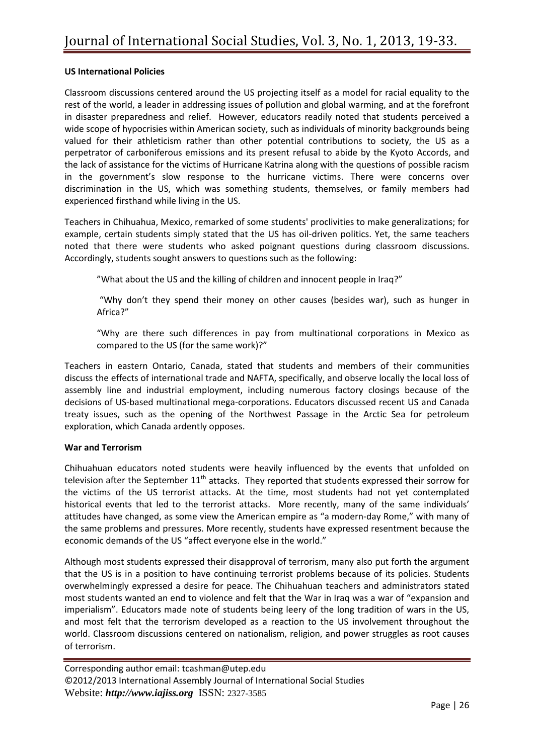### **US International Policies**

Classroom discussions centered around the US projecting itself as a model for racial equality to the rest of the world, a leader in addressing issues of pollution and global warming, and at the forefront in disaster preparedness and relief. However, educators readily noted that students perceived a wide scope of hypocrisies within American society, such as individuals of minority backgrounds being valued for their athleticism rather than other potential contributions to society, the US as a perpetrator of carboniferous emissions and its present refusal to abide by the Kyoto Accords, and the lack of assistance for the victims of Hurricane Katrina along with the questions of possible racism in the government's slow response to the hurricane victims. There were concerns over discrimination in the US, which was something students, themselves, or family members had experienced firsthand while living in the US.

Teachers in Chihuahua, Mexico, remarked of some students' proclivities to make generalizations; for example, certain students simply stated that the US has oil-driven politics. Yet, the same teachers noted that there were students who asked poignant questions during classroom discussions. Accordingly, students sought answers to questions such as the following:

"What about the US and the killing of children and innocent people in Iraq?"

"Why don't they spend their money on other causes (besides war), such as hunger in Africa?"

"Why are there such differences in pay from multinational corporations in Mexico as compared to the US (for the same work)?"

Teachers in eastern Ontario, Canada, stated that students and members of their communities discuss the effects of international trade and NAFTA, specifically, and observe locally the local loss of assembly line and industrial employment, including numerous factory closings because of the decisions of US-based multinational mega-corporations. Educators discussed recent US and Canada treaty issues, such as the opening of the Northwest Passage in the Arctic Sea for petroleum exploration, which Canada ardently opposes.

#### **War and Terrorism**

Chihuahuan educators noted students were heavily influenced by the events that unfolded on television after the September  $11<sup>th</sup>$  attacks. They reported that students expressed their sorrow for the victims of the US terrorist attacks. At the time, most students had not yet contemplated historical events that led to the terrorist attacks. More recently, many of the same individuals' attitudes have changed, as some view the American empire as "a modern-day Rome," with many of the same problems and pressures. More recently, students have expressed resentment because the economic demands of the US "affect everyone else in the world."

Although most students expressed their disapproval of terrorism, many also put forth the argument that the US is in a position to have continuing terrorist problems because of its policies. Students overwhelmingly expressed a desire for peace. The Chihuahuan teachers and administrators stated most students wanted an end to violence and felt that the War in Iraq was a war of "expansion and imperialism". Educators made note of students being leery of the long tradition of wars in the US, and most felt that the terrorism developed as a reaction to the US involvement throughout the world. Classroom discussions centered on nationalism, religion, and power struggles as root causes of terrorism.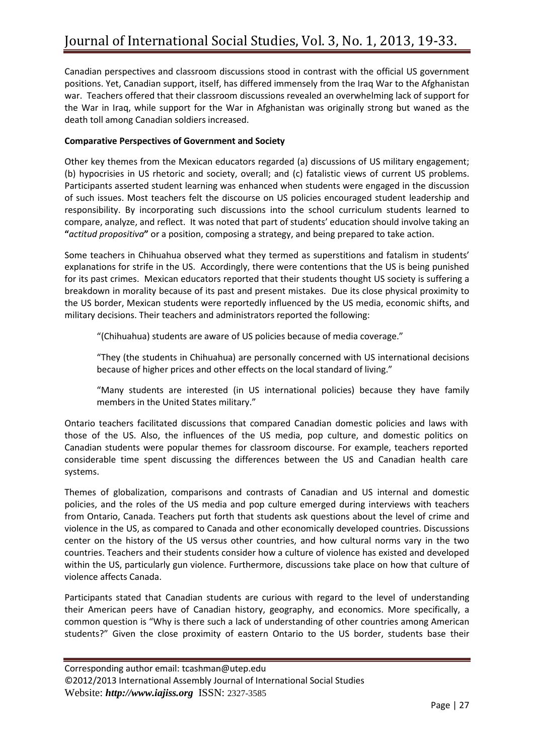Canadian perspectives and classroom discussions stood in contrast with the official US government positions. Yet, Canadian support, itself, has differed immensely from the Iraq War to the Afghanistan war. Teachers offered that their classroom discussions revealed an overwhelming lack of support for the War in Iraq, while support for the War in Afghanistan was originally strong but waned as the death toll among Canadian soldiers increased.

# **Comparative Perspectives of Government and Society**

Other key themes from the Mexican educators regarded (a) discussions of US military engagement; (b) hypocrisies in US rhetoric and society, overall; and (c) fatalistic views of current US problems. Participants asserted student learning was enhanced when students were engaged in the discussion of such issues. Most teachers felt the discourse on US policies encouraged student leadership and responsibility. By incorporating such discussions into the school curriculum students learned to compare, analyze, and reflect. It was noted that part of students' education should involve taking an **"***actitud propositiva***"** or a position, composing a strategy, and being prepared to take action.

Some teachers in Chihuahua observed what they termed as superstitions and fatalism in students' explanations for strife in the US. Accordingly, there were contentions that the US is being punished for its past crimes. Mexican educators reported that their students thought US society is suffering a breakdown in morality because of its past and present mistakes. Due its close physical proximity to the US border, Mexican students were reportedly influenced by the US media, economic shifts, and military decisions. Their teachers and administrators reported the following:

"(Chihuahua) students are aware of US policies because of media coverage."

"They (the students in Chihuahua) are personally concerned with US international decisions because of higher prices and other effects on the local standard of living."

"Many students are interested (in US international policies) because they have family members in the United States military."

Ontario teachers facilitated discussions that compared Canadian domestic policies and laws with those of the US. Also, the influences of the US media, pop culture, and domestic politics on Canadian students were popular themes for classroom discourse. For example, teachers reported considerable time spent discussing the differences between the US and Canadian health care systems.

Themes of globalization, comparisons and contrasts of Canadian and US internal and domestic policies, and the roles of the US media and pop culture emerged during interviews with teachers from Ontario, Canada. Teachers put forth that students ask questions about the level of crime and violence in the US, as compared to Canada and other economically developed countries. Discussions center on the history of the US versus other countries, and how cultural norms vary in the two countries. Teachers and their students consider how a culture of violence has existed and developed within the US, particularly gun violence. Furthermore, discussions take place on how that culture of violence affects Canada.

Participants stated that Canadian students are curious with regard to the level of understanding their American peers have of Canadian history, geography, and economics. More specifically, a common question is "Why is there such a lack of understanding of other countries among American students?" Given the close proximity of eastern Ontario to the US border, students base their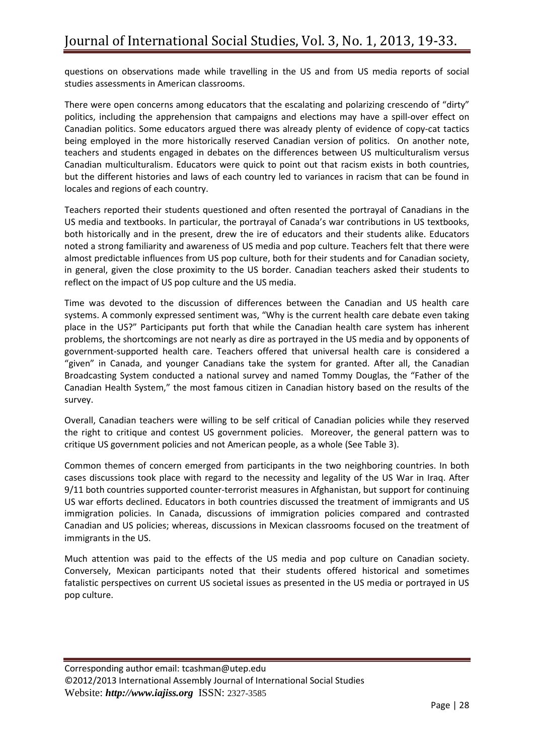questions on observations made while travelling in the US and from US media reports of social studies assessments in American classrooms.

There were open concerns among educators that the escalating and polarizing crescendo of "dirty" politics, including the apprehension that campaigns and elections may have a spill-over effect on Canadian politics. Some educators argued there was already plenty of evidence of copy-cat tactics being employed in the more historically reserved Canadian version of politics. On another note, teachers and students engaged in debates on the differences between US multiculturalism versus Canadian multiculturalism. Educators were quick to point out that racism exists in both countries, but the different histories and laws of each country led to variances in racism that can be found in locales and regions of each country.

Teachers reported their students questioned and often resented the portrayal of Canadians in the US media and textbooks. In particular, the portrayal of Canada's war contributions in US textbooks, both historically and in the present, drew the ire of educators and their students alike. Educators noted a strong familiarity and awareness of US media and pop culture. Teachers felt that there were almost predictable influences from US pop culture, both for their students and for Canadian society, in general, given the close proximity to the US border. Canadian teachers asked their students to reflect on the impact of US pop culture and the US media.

Time was devoted to the discussion of differences between the Canadian and US health care systems. A commonly expressed sentiment was, "Why is the current health care debate even taking place in the US?" Participants put forth that while the Canadian health care system has inherent problems, the shortcomings are not nearly as dire as portrayed in the US media and by opponents of government-supported health care. Teachers offered that universal health care is considered a "given" in Canada, and younger Canadians take the system for granted. After all, the Canadian Broadcasting System conducted a national survey and named Tommy Douglas, the "Father of the Canadian Health System," the most famous citizen in Canadian history based on the results of the survey.

Overall, Canadian teachers were willing to be self critical of Canadian policies while they reserved the right to critique and contest US government policies. Moreover, the general pattern was to critique US government policies and not American people, as a whole (See Table 3).

Common themes of concern emerged from participants in the two neighboring countries. In both cases discussions took place with regard to the necessity and legality of the US War in Iraq. After 9/11 both countries supported counter-terrorist measures in Afghanistan, but support for continuing US war efforts declined. Educators in both countries discussed the treatment of immigrants and US immigration policies. In Canada, discussions of immigration policies compared and contrasted Canadian and US policies; whereas, discussions in Mexican classrooms focused on the treatment of immigrants in the US.

Much attention was paid to the effects of the US media and pop culture on Canadian society. Conversely, Mexican participants noted that their students offered historical and sometimes fatalistic perspectives on current US societal issues as presented in the US media or portrayed in US pop culture.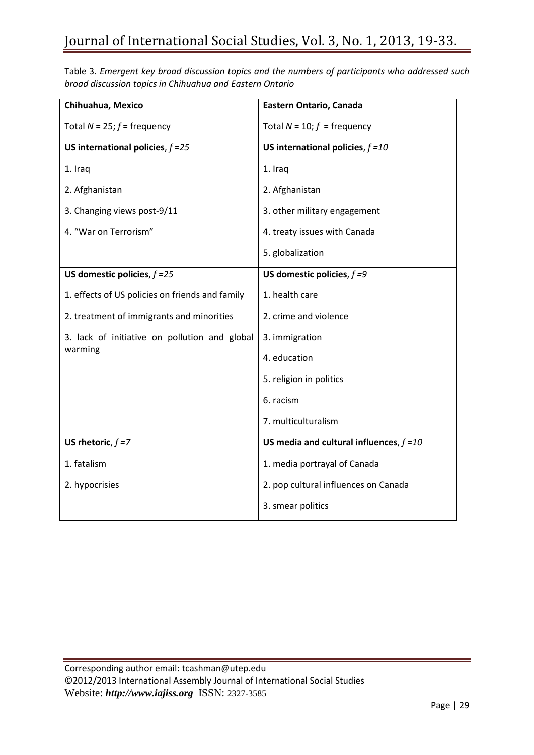Table 3. *Emergent key broad discussion topics and the numbers of participants who addressed such broad discussion topics in Chihuahua and Eastern Ontario*

| Chihuahua, Mexico                               | Eastern Ontario, Canada                    |
|-------------------------------------------------|--------------------------------------------|
| Total $N = 25$ ; $f =$ frequency                | Total $N = 10$ ; $f = \text{frequency}$    |
| US international policies, $f = 25$             | US international policies, $f = 10$        |
| 1. Iraq                                         | 1. Iraq                                    |
| 2. Afghanistan                                  | 2. Afghanistan                             |
| 3. Changing views post-9/11                     | 3. other military engagement               |
| 4. "War on Terrorism"                           | 4. treaty issues with Canada               |
|                                                 | 5. globalization                           |
| US domestic policies, $f = 25$                  | US domestic policies, $f = 9$              |
| 1. effects of US policies on friends and family | 1. health care                             |
| 2. treatment of immigrants and minorities       | 2. crime and violence                      |
| 3. lack of initiative on pollution and global   | 3. immigration                             |
| warming                                         | 4. education                               |
|                                                 | 5. religion in politics                    |
|                                                 | 6. racism                                  |
|                                                 | 7. multiculturalism                        |
| US rhetoric, $f = 7$                            | US media and cultural influences, $f = 10$ |
| 1. fatalism                                     | 1. media portrayal of Canada               |
| 2. hypocrisies                                  | 2. pop cultural influences on Canada       |
|                                                 | 3. smear politics                          |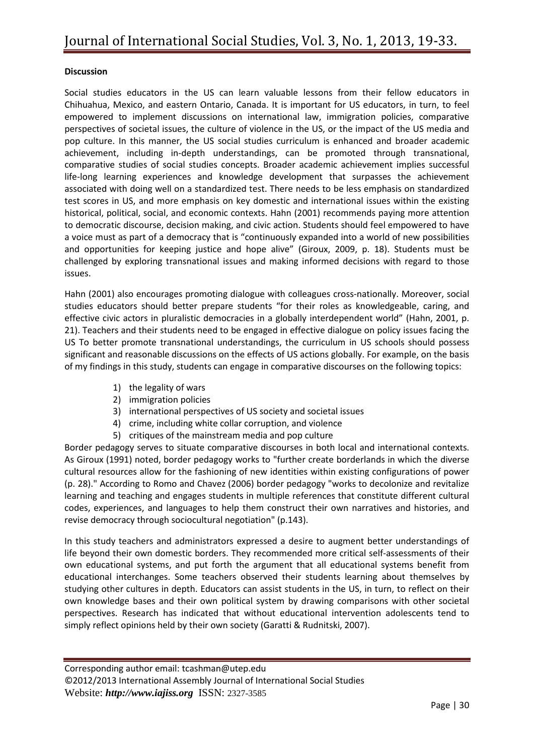## **Discussion**

Social studies educators in the US can learn valuable lessons from their fellow educators in Chihuahua, Mexico, and eastern Ontario, Canada. It is important for US educators, in turn, to feel empowered to implement discussions on international law, immigration policies, comparative perspectives of societal issues, the culture of violence in the US, or the impact of the US media and pop culture. In this manner, the US social studies curriculum is enhanced and broader academic achievement, including in-depth understandings, can be promoted through transnational, comparative studies of social studies concepts. Broader academic achievement implies successful life-long learning experiences and knowledge development that surpasses the achievement associated with doing well on a standardized test. There needs to be less emphasis on standardized test scores in US, and more emphasis on key domestic and international issues within the existing historical, political, social, and economic contexts. Hahn (2001) recommends paying more attention to democratic discourse, decision making, and civic action. Students should feel empowered to have a voice must as part of a democracy that is "continuously expanded into a world of new possibilities and opportunities for keeping justice and hope alive" (Giroux, 2009, p. 18). Students must be challenged by exploring transnational issues and making informed decisions with regard to those issues.

Hahn (2001) also encourages promoting dialogue with colleagues cross-nationally. Moreover, social studies educators should better prepare students "for their roles as knowledgeable, caring, and effective civic actors in pluralistic democracies in a globally interdependent world" (Hahn, 2001, p. 21). Teachers and their students need to be engaged in effective dialogue on policy issues facing the US To better promote transnational understandings, the curriculum in US schools should possess significant and reasonable discussions on the effects of US actions globally. For example, on the basis of my findings in this study, students can engage in comparative discourses on the following topics:

- 1) the legality of wars
- 2) immigration policies
- 3) international perspectives of US society and societal issues
- 4) crime, including white collar corruption, and violence
- 5) critiques of the mainstream media and pop culture

Border pedagogy serves to situate comparative discourses in both local and international contexts. As Giroux (1991) noted, border pedagogy works to "further create borderlands in which the diverse cultural resources allow for the fashioning of new identities within existing configurations of power (p. 28)." According to Romo and Chavez (2006) border pedagogy "works to decolonize and revitalize learning and teaching and engages students in multiple references that constitute different cultural codes, experiences, and languages to help them construct their own narratives and histories, and revise democracy through sociocultural negotiation" (p.143).

In this study teachers and administrators expressed a desire to augment better understandings of life beyond their own domestic borders. They recommended more critical self-assessments of their own educational systems, and put forth the argument that all educational systems benefit from educational interchanges. Some teachers observed their students learning about themselves by studying other cultures in depth. Educators can assist students in the US, in turn, to reflect on their own knowledge bases and their own political system by drawing comparisons with other societal perspectives. Research has indicated that without educational intervention adolescents tend to simply reflect opinions held by their own society (Garatti & Rudnitski, 2007).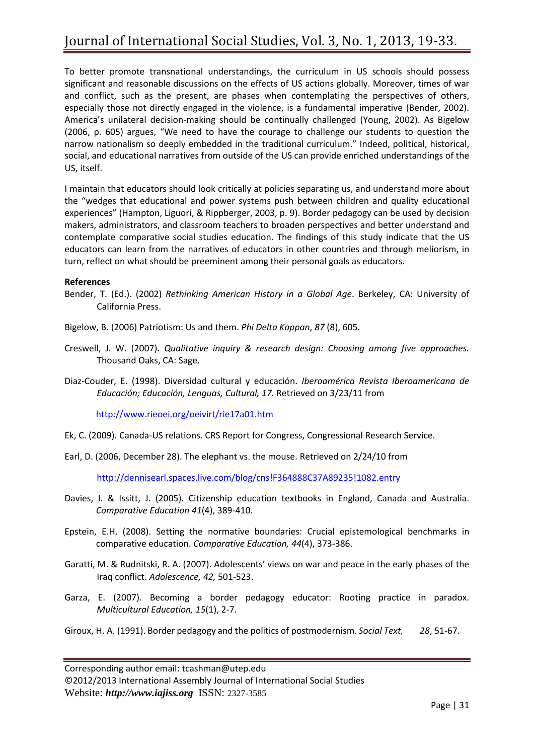To better promote transnational understandings, the curriculum in US schools should possess significant and reasonable discussions on the effects of US actions globally. Moreover, times of war and conflict, such as the present, are phases when contemplating the perspectives of others, especially those not directly engaged in the violence, is a fundamental imperative (Bender, 2002). America's unilateral decision-making should be continually challenged (Young, 2002). As Bigelow (2006, p. 605) argues, "We need to have the courage to challenge our students to question the narrow nationalism so deeply embedded in the traditional curriculum." Indeed, political, historical, social, and educational narratives from outside of the US can provide enriched understandings of the US, itself.

I maintain that educators should look critically at policies separating us, and understand more about the "wedges that educational and power systems push between children and quality educational experiences" (Hampton, Liguori, & Rippberger, 2003, p. 9). Border pedagogy can be used by decision makers, administrators, and classroom teachers to broaden perspectives and better understand and contemplate comparative social studies education. The findings of this study indicate that the US educators can learn from the narratives of educators in other countries and through meliorism, in turn, reflect on what should be preeminent among their personal goals as educators.

### **References**

- Bender, T. (Ed.). (2002) *Rethinking American History in a Global Age*. Berkeley, CA: University of California Press.
- Bigelow, B. (2006) Patriotism: Us and them. *Phi Delta Kappan*, *87* (8), 605.
- Creswell, J. W. (2007). *Qualitative inquiry & research design: Choosing among five approaches.* Thousand Oaks, CA: Sage.
- Diaz-Couder, E. (1998). Diversidad cultural y educación. *Iberoamérica Revista Iberoamericana de Educación; Educación, Lenguas, Cultural, 17.* Retrieved on 3/23/11 from

<http://www.rieoei.org/oeivirt/rie17a01.htm>

- Ek, C. (2009). Canada-US relations. CRS Report for Congress, Congressional Research Service.
- Earl, D. (2006, December 28). The elephant vs. the mouse. Retrieved on 2/24/10 from

<http://dennisearl.spaces.live.com/blog/cns!F364888C37A89235!1082.entry>

- Davies, I. & Issitt, J. (2005). Citizenship education textbooks in England, Canada and Australia. *Comparative Education 41*(4), 389-410.
- Epstein, E.H. (2008). Setting the normative boundaries: Crucial epistemological benchmarks in comparative education. *Comparative Education, 44*(4), 373-386.
- Garatti, M. & Rudnitski, R. A. (2007). Adolescents' views on war and peace in the early phases of the Iraq conflict. *Adolescence, 42,* 501-523.
- Garza, E. (2007). Becoming a border pedagogy educator: Rooting practice in paradox. *Multicultural Education, 15*(1), 2-7.
- Giroux, H. A. (1991). Border pedagogy and the politics of postmodernism. *Social Text, 28*, 51-67.

Corresponding author email: tcashman@utep.edu

©2012/2013 International Assembly Journal of International Social Studies Website: *http://www.iajiss.org* ISSN: 2327-3585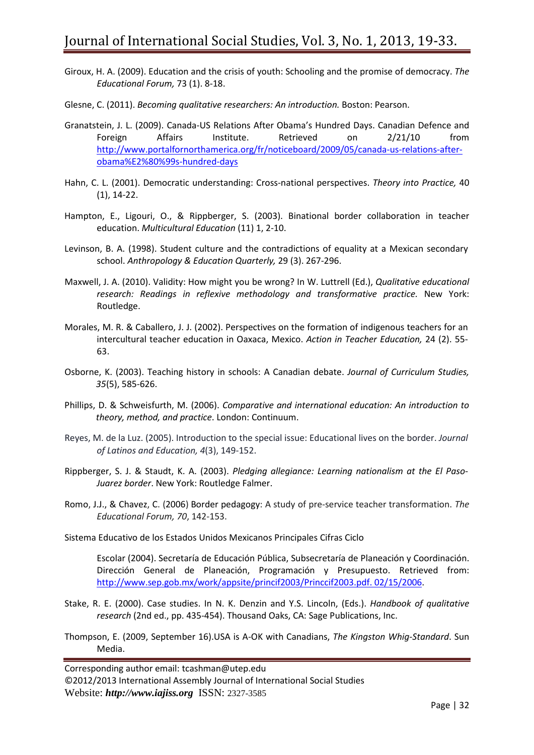- Giroux, H. A. (2009). Education and the crisis of youth: Schooling and the promise of democracy. *The Educational Forum,* 73 (1). 8-18.
- Glesne, C. (2011). *Becoming qualitative researchers: An introduction.* Boston: Pearson.
- Granatstein, J. L. (2009). Canada-US Relations After Obama's Hundred Days. Canadian Defence and Foreign Affairs Institute. Retrieved on 2/21/10 from [http://www.portalfornorthamerica.org/fr/noticeboard/2009/05/canada-us-relations-after](http://www.portalfornorthamerica.org/fr/noticeboard/2009/05/canada-us-relations-after-obama%E2%80%99s-hundred-days)[obama%E2%80%99s-hundred-days](http://www.portalfornorthamerica.org/fr/noticeboard/2009/05/canada-us-relations-after-obama%E2%80%99s-hundred-days)
- Hahn, C. L. (2001). Democratic understanding: Cross-national perspectives. *Theory into Practice,* 40 (1), 14-22.
- Hampton, E., Ligouri, O., & Rippberger, S. (2003). Binational border collaboration in teacher education. *Multicultural Education* (11) 1, 2-10.
- Levinson, B. A. (1998). Student culture and the contradictions of equality at a Mexican secondary school. *Anthropology & Education Quarterly,* 29 (3). 267-296.
- Maxwell, J. A. (2010). Validity: How might you be wrong? In W. Luttrell (Ed.), *Qualitative educational research: Readings in reflexive methodology and transformative practice.* New York: Routledge.
- Morales, M. R. & Caballero, J. J. (2002). Perspectives on the formation of indigenous teachers for an intercultural teacher education in Oaxaca, Mexico. *Action in Teacher Education,* 24 (2). 55- 63.
- Osborne, K. (2003). Teaching history in schools: A Canadian debate. *Journal of Curriculum Studies, 35*(5), 585-626.
- Phillips, D. & Schweisfurth, M. (2006). *Comparative and international education: An introduction to theory, method, and practice*. London: Continuum.
- Reyes, M. de la Luz. (2005). Introduction to the special issue: Educational lives on the border. *Journal of Latinos and Education, 4*(3), 149-152.
- Rippberger, S. J. & Staudt, K. A. (2003). *Pledging allegiance: Learning nationalism at the El Paso-Juarez border*. New York: Routledge Falmer.
- Romo, J.J., & Chavez, C. (2006) Border pedagogy: A study of pre-service teacher transformation. *The Educational Forum, 70*, 142-153.
- Sistema Educativo de los Estados Unidos Mexicanos Principales Cifras Ciclo

Escolar (2004). Secretaría de Educación Pública, Subsecretaría de Planeación y Coordinación. Dirección General de Planeación, Programación y Presupuesto. Retrieved from: [http://www.sep.gob.mx/work/appsite/princif2003/Princcif2003.pdf. 02/15/2006.](http://www.sep.gob.mx/work/appsite/princif2003/Princcif2003.pdf.%2002/15/2006)

- Stake, R. E. (2000). Case studies. In N. K. Denzin and Y.S. Lincoln, (Eds.). *Handbook of qualitative research* (2nd ed., pp. 435-454). Thousand Oaks, CA: Sage Publications, Inc.
- Thompson, E. (2009, September 16).USA is A-OK with Canadians, *The Kingston Whig-Standard*. Sun Media.

Corresponding author email: tcashman@utep.edu ©2012/2013 International Assembly Journal of International Social Studies Website: *http://www.iajiss.org* ISSN: 2327-3585